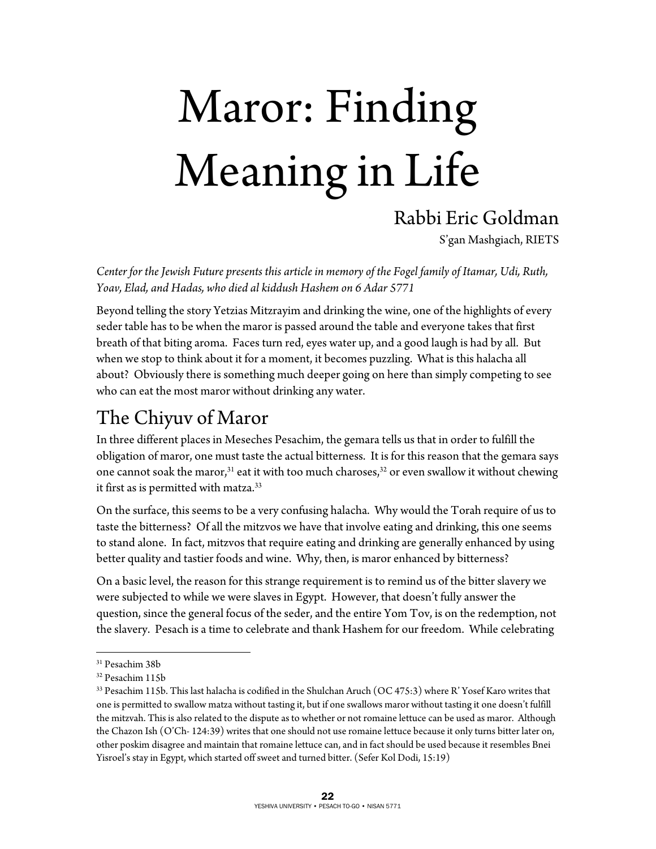# Maror: Finding Meaning in Life

### Rabbi Eric Goldman

S'gan Mashgiach, RIETS

*Center for the Jewish Future presents this article in memory of the Fogel family of Itamar, Udi, Ruth, Yoav, Elad, and Hadas, who died al kiddush Hashem on 6 Adar 5771* 

Beyond telling the story Yetzias Mitzrayim and drinking the wine, one of the highlights of every seder table has to be when the maror is passed around the table and everyone takes that first breath of that biting aroma. Faces turn red, eyes water up, and a good laugh is had by all. But when we stop to think about it for a moment, it becomes puzzling. What is this halacha all about? Obviously there is something much deeper going on here than simply competing to see who can eat the most maror without drinking any water.

## The Chiyuv of Maror

In three different places in Meseches Pesachim, the gemara tells us that in order to fulfill the obligation of maror, one must taste the actual bitterness. It is for this reason that the gemara says one cannot soak the maror,<sup>31</sup> eat it with too much charoses,<sup>32</sup> or even swallow it without chewing it first as is permitted with matza.<sup>33</sup>

On the surface, this seems to be a very confusing halacha. Why would the Torah require of us to taste the bitterness? Of all the mitzvos we have that involve eating and drinking, this one seems to stand alone. In fact, mitzvos that require eating and drinking are generally enhanced by using better quality and tastier foods and wine. Why, then, is maror enhanced by bitterness?

On a basic level, the reason for this strange requirement is to remind us of the bitter slavery we were subjected to while we were slaves in Egypt. However, that doesn't fully answer the question, since the general focus of the seder, and the entire Yom Tov, is on the redemption, not the slavery. Pesach is a time to celebrate and thank Hashem for our freedom. While celebrating

 $\overline{a}$ 

<sup>31</sup> Pesachim 38b

<sup>32</sup> Pesachim 115b

 $^{33}$  Pesachim 115b. This last halacha is codified in the Shulchan Aruch (OC 475:3) where R' Yosef Karo writes that one is permitted to swallow matza without tasting it, but if one swallows maror without tasting it one doesn't fulfill the mitzvah. This is also related to the dispute as to whether or not romaine lettuce can be used as maror. Although the Chazon Ish (O'Ch- 124:39) writes that one should not use romaine lettuce because it only turns bitter later on, other poskim disagree and maintain that romaine lettuce can, and in fact should be used because it resembles Bnei Yisroel's stay in Egypt, which started off sweet and turned bitter. (Sefer Kol Dodi, 15:19)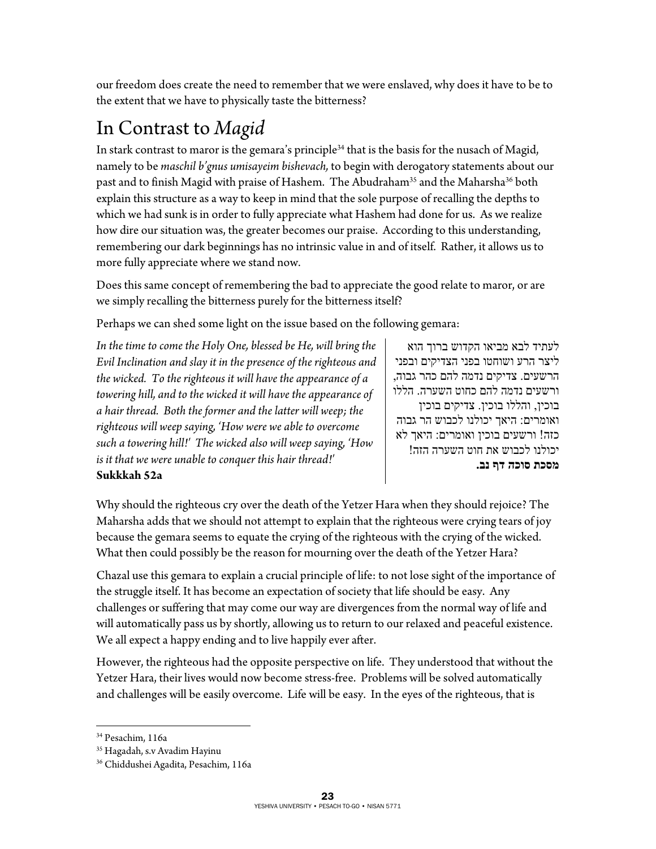our freedom does create the need to remember that we were enslaved, why does it have to be to the extent that we have to physically taste the bitterness?

# In Contrast to *Magid*

In stark contrast to maror is the gemara's principle<sup>34</sup> that is the basis for the nusach of Magid, namely to be *maschil b'gnus umisayeim bishevach,* to begin with derogatory statements about our past and to finish Magid with praise of Hashem. The Abudraham<sup>35</sup> and the Maharsha<sup>36</sup> both explain this structure as a way to keep in mind that the sole purpose of recalling the depths to which we had sunk is in order to fully appreciate what Hashem had done for us. As we realize how dire our situation was, the greater becomes our praise. According to this understanding, remembering our dark beginnings has no intrinsic value in and of itself. Rather, it allows us to more fully appreciate where we stand now.

Does this same concept of remembering the bad to appreciate the good relate to maror, or are we simply recalling the bitterness purely for the bitterness itself?

Perhaps we can shed some light on the issue based on the following gemara:

*In the time to come the Holy One, blessed be He, will bring the Evil Inclination and slay it in the presence of the righteous and the wicked. To the righteous it will have the appearance of a towering hill, and to the wicked it will have the appearance of a hair thread. Both the former and the latter will weep; the righteous will weep saying, 'How were we able to overcome such a towering hill!' The wicked also will weep saying, 'How is it that we were unable to conquer this hair thread!'* 

לעתיד לבא מביאו הקדוש ברוך הוא ליצר הרע ושוחטו בפני הצדיקים ובפני הרשעים. צדיקים נדמה להם כהר גבוה, ורשעים נדמה להם כחוט השערה . הללו בוכין, והללו בוכין. צדיקים בוכין ואומרים: היאך יכולנו לכבוש הר גבוה כזה! ורשעים בוכין ואומרים: היאך לא יכולנו לכבוש את חוט השערה הזה! **מסכת סוכה דף נב.**

#### **Sukkkah 52a**

Why should the righteous cry over the death of the Yetzer Hara when they should rejoice? The Maharsha adds that we should not attempt to explain that the righteous were crying tears of joy because the gemara seems to equate the crying of the righteous with the crying of the wicked. What then could possibly be the reason for mourning over the death of the Yetzer Hara?

Chazal use this gemara to explain a crucial principle of life: to not lose sight of the importance of the struggle itself. It has become an expectation of society that life should be easy. Any challenges or suffering that may come our way are divergences from the normal way of life and will automatically pass us by shortly, allowing us to return to our relaxed and peaceful existence. We all expect a happy ending and to live happily ever after.

However, the righteous had the opposite perspective on life. They understood that without the Yetzer Hara, their lives would now become stress-free. Problems will be solved automatically and challenges will be easily overcome. Life will be easy. In the eyes of the righteous, that is

 $\overline{a}$ 

<sup>34</sup> Pesachim, 116a

<sup>35</sup> Hagadah, s.v Avadim Hayinu

<sup>36</sup> Chiddushei Agadita, Pesachim, 116a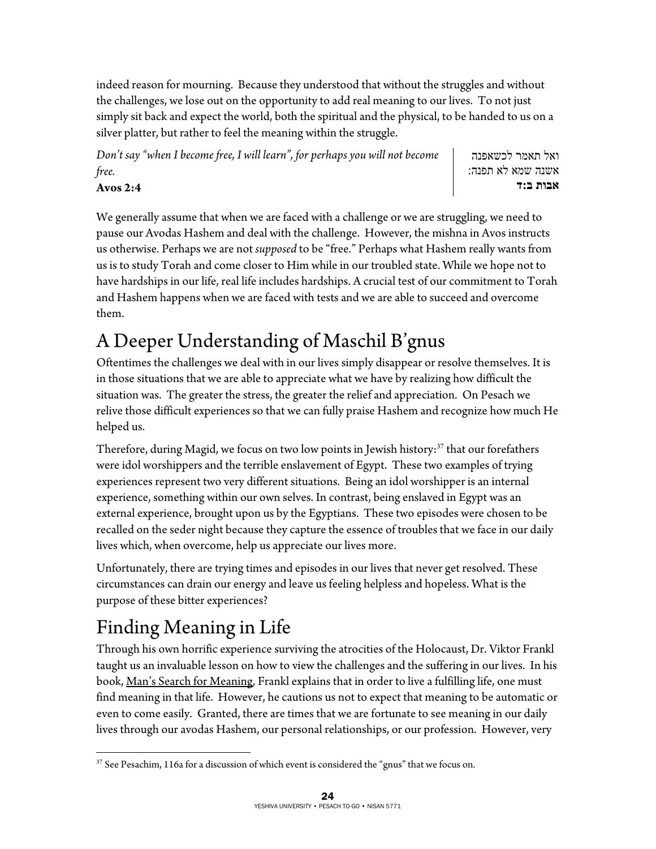indeed reason for mourning. Because they understood that without the struggles and without the challenges, we lose out on the opportunity to add real meaning to our lives. To not just simply sit back and expect the world, both the spiritual and the physical, to be handed to us on a silver platter, but rather to feel the meaning within the struggle.

*Don't say "when I become free, I will learn", for perhaps you will not become free.* 

ואל תאמר לכשאפנה אשנה שמא לא תפנה: **אבות ב:ד**

**Avos 2:4** 

We generally assume that when we are faced with a challenge or we are struggling, we need to pause our Avodas Hashem and deal with the challenge. However, the mishna in Avos instructs us otherwise. Perhaps we are not *supposed* to be "free." Perhaps what Hashem really wants from us is to study Torah and come closer to Him while in our troubled state. While we hope not to have hardships in our life, real life includes hardships. A crucial test of our commitment to Torah and Hashem happens when we are faced with tests and we are able to succeed and overcome them.

# A Deeper Understanding of Maschil B'gnus

Oftentimes the challenges we deal with in our lives simply disappear or resolve themselves. It is in those situations that we are able to appreciate what we have by realizing how difficult the situation was. The greater the stress, the greater the relief and appreciation. On Pesach we relive those difficult experiences so that we can fully praise Hashem and recognize how much He helped us.

Therefore, during Magid, we focus on two low points in Jewish history:<sup>37</sup> that our forefathers were idol worshippers and the terrible enslavement of Egypt. These two examples of trying experiences represent two very different situations. Being an idol worshipper is an internal experience, something within our own selves. In contrast, being enslaved in Egypt was an external experience, brought upon us by the Egyptians. These two episodes were chosen to be recalled on the seder night because they capture the essence of troubles that we face in our daily lives which, when overcome, help us appreciate our lives more.

Unfortunately, there are trying times and episodes in our lives that never get resolved. These circumstances can drain our energy and leave us feeling helpless and hopeless. What is the purpose of these bitter experiences?

# Finding Meaning in Life

Through his own horrific experience surviving the atrocities of the Holocaust, Dr. Viktor Frankl taught us an invaluable lesson on how to view the challenges and the suffering in our lives. In his book, Man's Search for Meaning, Frankl explains that in order to live a fulfilling life, one must find meaning in that life. However, he cautions us not to expect that meaning to be automatic or even to come easily. Granted, there are times that we are fortunate to see meaning in our daily lives through our avodas Hashem, our personal relationships, or our profession. However, very

 $\overline{a}$ <sup>37</sup> See Pesachim, 116a for a discussion of which event is considered the "gnus" that we focus on.